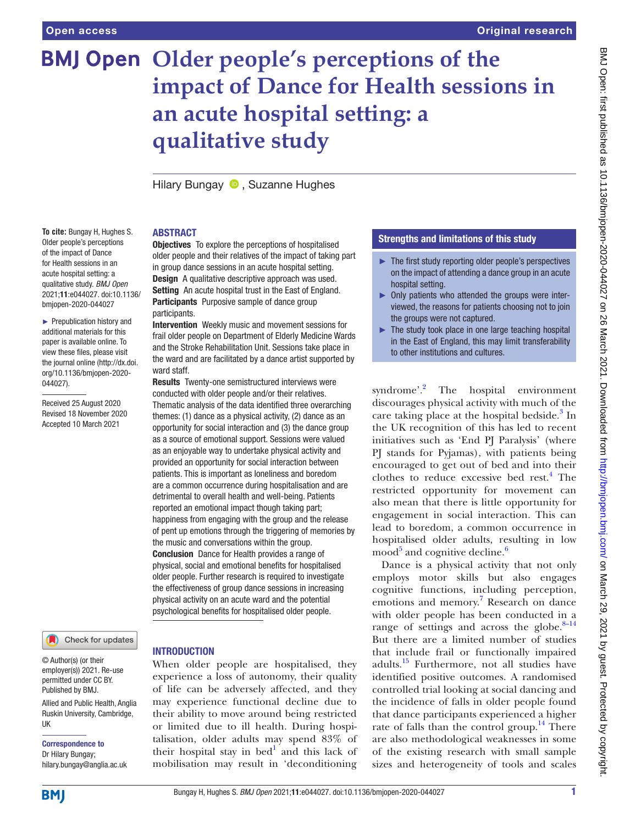**To cite:** Bungay H, Hughes S. Older people's perceptions of the impact of Dance for Health sessions in an acute hospital setting: a qualitative study. *BMJ Open* 2021;11:e044027. doi:10.1136/ bmjopen-2020-044027 ► Prepublication history and additional materials for this paper is available online. To view these files, please visit the journal online [\(http://dx.doi.](http://dx.doi.org/10.1136/bmjopen-2020-044027) [org/10.1136/bmjopen-2020-](http://dx.doi.org/10.1136/bmjopen-2020-044027)

[044027\)](http://dx.doi.org/10.1136/bmjopen-2020-044027).

Received 25 August 2020 Revised 18 November 2020 Accepted 10 March 2021

# **BMJ Open Older people's perceptions of the impact of Dance for Health sessions in an acute hospital setting: a qualitative study**

HilaryBungay **D**. Suzanne Hughes

# ABSTRACT

**Objectives** To explore the perceptions of hospitalised older people and their relatives of the impact of taking part in group dance sessions in an acute hospital setting. Design A qualitative descriptive approach was used. Setting An acute hospital trust in the East of England. Participants Purposive sample of dance group participants.

Intervention Weekly music and movement sessions for frail older people on Department of Elderly Medicine Wards and the Stroke Rehabilitation Unit. Sessions take place in the ward and are facilitated by a dance artist supported by ward staff.

Results Twenty-one semistructured interviews were conducted with older people and/or their relatives. Thematic analysis of the data identified three overarching themes: (1) dance as a physical activity, (2) dance as an opportunity for social interaction and (3) the dance group as a source of emotional support. Sessions were valued as an enjoyable way to undertake physical activity and provided an opportunity for social interaction between patients. This is important as loneliness and boredom are a common occurrence during hospitalisation and are detrimental to overall health and well-being. Patients reported an emotional impact though taking part; happiness from engaging with the group and the release of pent up emotions through the triggering of memories by the music and conversations within the group. Conclusion Dance for Health provides a range of physical, social and emotional benefits for hospitalised older people. Further research is required to investigate the effectiveness of group dance sessions in increasing physical activity on an acute ward and the potential psychological benefits for hospitalised older people.

### Check for updates

© Author(s) (or their employer(s)) 2021. Re-use permitted under CC BY. Published by BMJ.

Allied and Public Health, Anglia Ruskin University, Cambridge, UK

Correspondence to Dr Hilary Bungay; hilary.bungay@anglia.ac.uk

# INTRODUCTION

When older people are hospitalised, they experience a loss of autonomy, their quality of life can be adversely affected, and they may experience functional decline due to their ability to move around being restricted or limited due to ill health. During hospitalisation, older adults may spend 83% of their hospital stay in bed $<sup>1</sup>$  $<sup>1</sup>$  $<sup>1</sup>$  and this lack of</sup> mobilisation may result in 'deconditioning

# Strengths and limitations of this study

- ► The first study reporting older people's perspectives on the impact of attending a dance group in an acute hospital setting.
- ► Only patients who attended the groups were interviewed, the reasons for patients choosing not to join the groups were not captured.
- $\blacktriangleright$  The study took place in one large teaching hospital in the East of England, this may limit transferability to other institutions and cultures.

syndrome'.<sup>[2](#page-5-1)</sup> The hospital environment discourages physical activity with much of the care taking place at the hospital bedside.<sup>[3](#page-5-2)</sup> In the UK recognition of this has led to recent initiatives such as 'End PJ Paralysis' (where PJ stands for Pyjamas), with patients being encouraged to get out of bed and into their clothes to reduce excessive bed rest.<sup>4</sup> The restricted opportunity for movement can also mean that there is little opportunity for engagement in social interaction. This can lead to boredom, a common occurrence in hospitalised older adults, resulting in low mood $5$  and cognitive decline.<sup>[6](#page-5-5)</sup>

Dance is a physical activity that not only employs motor skills but also engages cognitive functions, including perception, emotions and memory.<sup>[7](#page-5-6)</sup> Research on dance with older people has been conducted in a range of settings and across the globe. $8-14$ But there are a limited number of studies that include frail or functionally impaired adults.<sup>15</sup> Furthermore, not all studies have identified positive outcomes. A randomised controlled trial looking at social dancing and the incidence of falls in older people found that dance participants experienced a higher rate of falls than the control group.<sup>14</sup> There are also methodological weaknesses in some of the existing research with small sample sizes and heterogeneity of tools and scales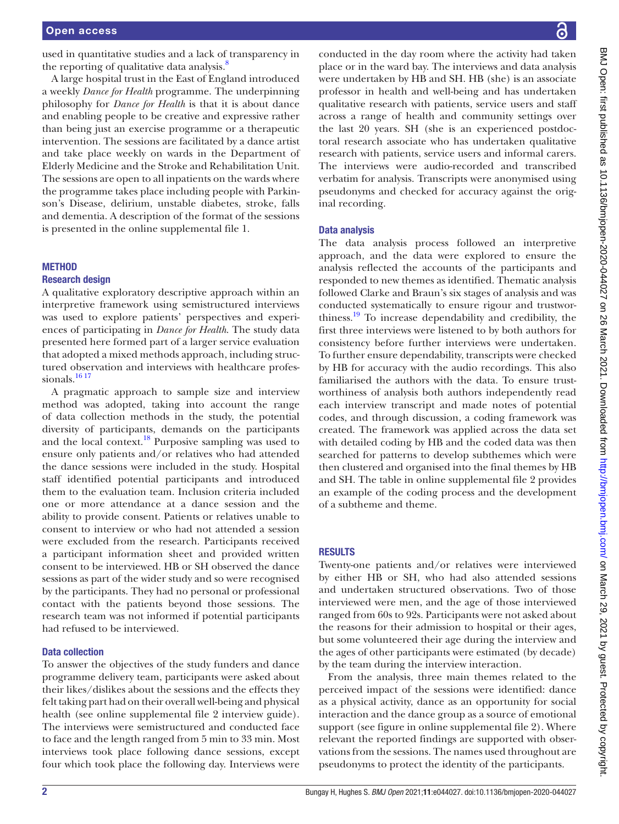used in quantitative studies and a lack of transparency in the reporting of qualitative data analysis.<sup>[8](#page-5-7)</sup>

A large hospital trust in the East of England introduced a weekly *Dance for Health* programme. The underpinning philosophy for *Dance for Health* is that it is about dance and enabling people to be creative and expressive rather than being just an exercise programme or a therapeutic intervention. The sessions are facilitated by a dance artist and take place weekly on wards in the Department of Elderly Medicine and the Stroke and Rehabilitation Unit. The sessions are open to all inpatients on the wards where the programme takes place including people with Parkinson's Disease, delirium, unstable diabetes, stroke, falls and dementia. A description of the format of the sessions is presented in the [online supplemental file 1.](https://dx.doi.org/10.1136/bmjopen-2020-044027)

## **METHOD**

## Research design

A qualitative exploratory descriptive approach within an interpretive framework using semistructured interviews was used to explore patients' perspectives and experiences of participating in *Dance for Health*. The study data presented here formed part of a larger service evaluation that adopted a mixed methods approach, including structured observation and interviews with healthcare professionals.<sup>16 17</sup>

A pragmatic approach to sample size and interview method was adopted, taking into account the range of data collection methods in the study, the potential diversity of participants, demands on the participants and the local context.<sup>18</sup> Purposive sampling was used to ensure only patients and/or relatives who had attended the dance sessions were included in the study. Hospital staff identified potential participants and introduced them to the evaluation team. Inclusion criteria included one or more attendance at a dance session and the ability to provide consent. Patients or relatives unable to consent to interview or who had not attended a session were excluded from the research. Participants received a participant information sheet and provided written consent to be interviewed. HB or SH observed the dance sessions as part of the wider study and so were recognised by the participants. They had no personal or professional contact with the patients beyond those sessions. The research team was not informed if potential participants had refused to be interviewed.

## Data collection

To answer the objectives of the study funders and dance programme delivery team, participants were asked about their likes/dislikes about the sessions and the effects they felt taking part had on their overall well-being and physical health (see [online supplemental file 2](https://dx.doi.org/10.1136/bmjopen-2020-044027) interview guide). The interviews were semistructured and conducted face to face and the length ranged from 5 min to 33 min. Most interviews took place following dance sessions, except four which took place the following day. Interviews were

conducted in the day room where the activity had taken place or in the ward bay. The interviews and data analysis were undertaken by HB and SH. HB (she) is an associate professor in health and well-being and has undertaken qualitative research with patients, service users and staff across a range of health and community settings over the last 20 years. SH (she is an experienced postdoctoral research associate who has undertaken qualitative research with patients, service users and informal carers. The interviews were audio-recorded and transcribed verbatim for analysis. Transcripts were anonymised using pseudonyms and checked for accuracy against the original recording.

### Data analysis

The data analysis process followed an interpretive approach, and the data were explored to ensure the analysis reflected the accounts of the participants and responded to new themes as identified. Thematic analysis followed Clarke and Braun's six stages of analysis and was conducted systematically to ensure rigour and trustworthiness.[19](#page-5-12) To increase dependability and credibility, the first three interviews were listened to by both authors for consistency before further interviews were undertaken. To further ensure dependability, transcripts were checked by HB for accuracy with the audio recordings. This also familiarised the authors with the data. To ensure trustworthiness of analysis both authors independently read each interview transcript and made notes of potential codes, and through discussion, a coding framework was created. The framework was applied across the data set with detailed coding by HB and the coded data was then searched for patterns to develop subthemes which were then clustered and organised into the final themes by HB and SH. The table in [online supplemental file 2](https://dx.doi.org/10.1136/bmjopen-2020-044027) provides an example of the coding process and the development of a subtheme and theme.

## RESULTS

Twenty-one patients and/or relatives were interviewed by either HB or SH, who had also attended sessions and undertaken structured observations. Two of those interviewed were men, and the age of those interviewed ranged from 60s to 92s. Participants were not asked about the reasons for their admission to hospital or their ages, but some volunteered their age during the interview and the ages of other participants were estimated (by decade) by the team during the interview interaction.

From the analysis, three main themes related to the perceived impact of the sessions were identified: dance as a physical activity, dance as an opportunity for social interaction and the dance group as a source of emotional support (see figure in [online supplemental file 2](https://dx.doi.org/10.1136/bmjopen-2020-044027)). Where relevant the reported findings are supported with observations from the sessions. The names used throughout are pseudonyms to protect the identity of the participants.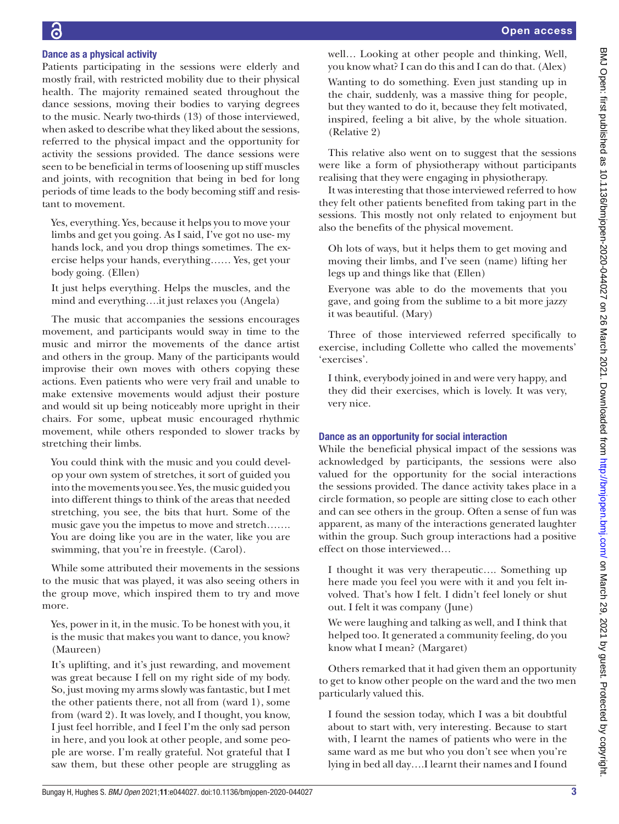# Dance as a physical activity

Patients participating in the sessions were elderly and mostly frail, with restricted mobility due to their physical health. The majority remained seated throughout the dance sessions, moving their bodies to varying degrees to the music. Nearly two-thirds (13) of those interviewed, when asked to describe what they liked about the sessions, referred to the physical impact and the opportunity for activity the sessions provided. The dance sessions were seen to be beneficial in terms of loosening up stiff muscles and joints, with recognition that being in bed for long periods of time leads to the body becoming stiff and resistant to movement.

Yes, everything. Yes, because it helps you to move your limbs and get you going. As I said, I've got no use- my hands lock, and you drop things sometimes. The exercise helps your hands, everything…… Yes, get your body going. (Ellen)

It just helps everything. Helps the muscles, and the mind and everything….it just relaxes you (Angela)

The music that accompanies the sessions encourages movement, and participants would sway in time to the music and mirror the movements of the dance artist and others in the group. Many of the participants would improvise their own moves with others copying these actions. Even patients who were very frail and unable to make extensive movements would adjust their posture and would sit up being noticeably more upright in their chairs. For some, upbeat music encouraged rhythmic movement, while others responded to slower tracks by stretching their limbs.

You could think with the music and you could develop your own system of stretches, it sort of guided you into the movements you see. Yes, the music guided you into different things to think of the areas that needed stretching, you see, the bits that hurt. Some of the music gave you the impetus to move and stretch……. You are doing like you are in the water, like you are swimming, that you're in freestyle. (Carol).

While some attributed their movements in the sessions to the music that was played, it was also seeing others in the group move, which inspired them to try and move more.

Yes, power in it, in the music. To be honest with you, it is the music that makes you want to dance, you know? (Maureen)

It's uplifting, and it's just rewarding, and movement was great because I fell on my right side of my body. So, just moving my arms slowly was fantastic, but I met the other patients there, not all from (ward 1), some from (ward 2). It was lovely, and I thought, you know, I just feel horrible, and I feel I'm the only sad person in here, and you look at other people, and some people are worse. I'm really grateful. Not grateful that I saw them, but these other people are struggling as

well… Looking at other people and thinking, Well, you know what? I can do this and I can do that. (Alex)

Wanting to do something. Even just standing up in the chair, suddenly, was a massive thing for people, but they wanted to do it, because they felt motivated, inspired, feeling a bit alive, by the whole situation. (Relative 2)

This relative also went on to suggest that the sessions were like a form of physiotherapy without participants realising that they were engaging in physiotherapy.

It was interesting that those interviewed referred to how they felt other patients benefited from taking part in the sessions. This mostly not only related to enjoyment but also the benefits of the physical movement.

Oh lots of ways, but it helps them to get moving and moving their limbs, and I've seen (name) lifting her legs up and things like that (Ellen)

Everyone was able to do the movements that you gave, and going from the sublime to a bit more jazzy it was beautiful. (Mary)

Three of those interviewed referred specifically to exercise, including Collette who called the movements' 'exercises'.

I think, everybody joined in and were very happy, and they did their exercises, which is lovely. It was very, very nice.

# Dance as an opportunity for social interaction

While the beneficial physical impact of the sessions was acknowledged by participants, the sessions were also valued for the opportunity for the social interactions the sessions provided. The dance activity takes place in a circle formation, so people are sitting close to each other and can see others in the group. Often a sense of fun was apparent, as many of the interactions generated laughter within the group. Such group interactions had a positive effect on those interviewed…

I thought it was very therapeutic…. Something up here made you feel you were with it and you felt involved. That's how I felt. I didn't feel lonely or shut out. I felt it was company (June)

We were laughing and talking as well, and I think that helped too. It generated a community feeling, do you know what I mean? (Margaret)

Others remarked that it had given them an opportunity to get to know other people on the ward and the two men particularly valued this.

I found the session today, which I was a bit doubtful about to start with, very interesting. Because to start with, I learnt the names of patients who were in the same ward as me but who you don't see when you're lying in bed all day….I learnt their names and I found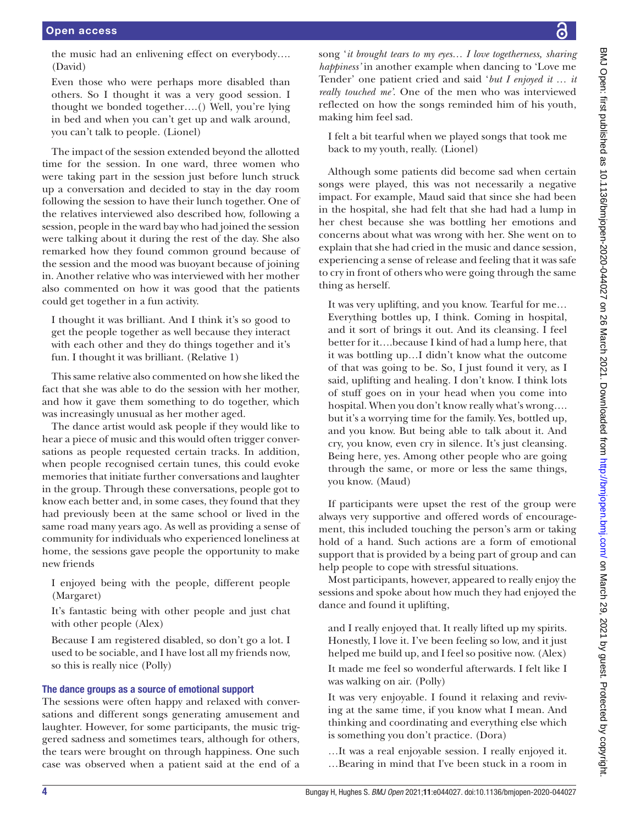the music had an enlivening effect on everybody…. (David)

Even those who were perhaps more disabled than others. So I thought it was a very good session. I thought we bonded together….() Well, you're lying in bed and when you can't get up and walk around, you can't talk to people. (Lionel)

The impact of the session extended beyond the allotted time for the session. In one ward, three women who were taking part in the session just before lunch struck up a conversation and decided to stay in the day room following the session to have their lunch together. One of the relatives interviewed also described how, following a session, people in the ward bay who had joined the session were talking about it during the rest of the day. She also remarked how they found common ground because of the session and the mood was buoyant because of joining in. Another relative who was interviewed with her mother also commented on how it was good that the patients could get together in a fun activity.

I thought it was brilliant. And I think it's so good to get the people together as well because they interact with each other and they do things together and it's fun. I thought it was brilliant. (Relative 1)

This same relative also commented on how she liked the fact that she was able to do the session with her mother, and how it gave them something to do together, which was increasingly unusual as her mother aged.

The dance artist would ask people if they would like to hear a piece of music and this would often trigger conversations as people requested certain tracks. In addition, when people recognised certain tunes, this could evoke memories that initiate further conversations and laughter in the group. Through these conversations, people got to know each better and, in some cases, they found that they had previously been at the same school or lived in the same road many years ago. As well as providing a sense of community for individuals who experienced loneliness at home, the sessions gave people the opportunity to make new friends

I enjoyed being with the people, different people (Margaret)

It's fantastic being with other people and just chat with other people (Alex)

Because I am registered disabled, so don't go a lot. I used to be sociable, and I have lost all my friends now, so this is really nice (Polly)

# The dance groups as a source of emotional support

The sessions were often happy and relaxed with conversations and different songs generating amusement and laughter. However, for some participants, the music triggered sadness and sometimes tears, although for others, the tears were brought on through happiness. One such case was observed when a patient said at the end of a

song '*it brought tears to my eyes… I love togetherness, sharing happiness'* in another example when dancing to 'Love me Tender' one patient cried and said '*but I enjoyed it … it really touched me'*. One of the men who was interviewed reflected on how the songs reminded him of his youth, making him feel sad.

I felt a bit tearful when we played songs that took me back to my youth, really. (Lionel)

Although some patients did become sad when certain songs were played, this was not necessarily a negative impact. For example, Maud said that since she had been in the hospital, she had felt that she had had a lump in her chest because she was bottling her emotions and concerns about what was wrong with her. She went on to explain that she had cried in the music and dance session, experiencing a sense of release and feeling that it was safe to cry in front of others who were going through the same thing as herself.

It was very uplifting, and you know. Tearful for me… Everything bottles up, I think. Coming in hospital, and it sort of brings it out. And its cleansing. I feel better for it….because I kind of had a lump here, that it was bottling up…I didn't know what the outcome of that was going to be. So, I just found it very, as I said, uplifting and healing. I don't know. I think lots of stuff goes on in your head when you come into hospital. When you don't know really what's wrong…. but it's a worrying time for the family. Yes, bottled up, and you know. But being able to talk about it. And cry, you know, even cry in silence. It's just cleansing. Being here, yes. Among other people who are going through the same, or more or less the same things, you know. (Maud)

If participants were upset the rest of the group were always very supportive and offered words of encouragement, this included touching the person's arm or taking hold of a hand. Such actions are a form of emotional support that is provided by a being part of group and can help people to cope with stressful situations.

Most participants, however, appeared to really enjoy the sessions and spoke about how much they had enjoyed the dance and found it uplifting,

and I really enjoyed that. It really lifted up my spirits. Honestly, I love it. I've been feeling so low, and it just helped me build up, and I feel so positive now. (Alex) It made me feel so wonderful afterwards. I felt like I was walking on air. (Polly)

It was very enjoyable. I found it relaxing and reviving at the same time, if you know what I mean. And thinking and coordinating and everything else which is something you don't practice. (Dora)

*…*It was a real enjoyable session. I really enjoyed it. …Bearing in mind that I've been stuck in a room in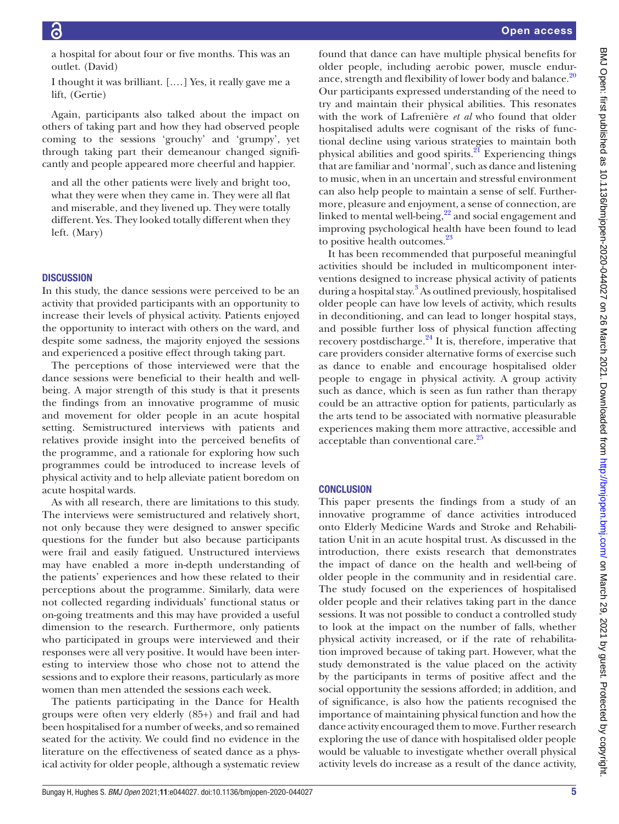a hospital for about four or five months. This was an outlet. (David)

I thought it was brilliant. [.…] Yes, it really gave me a lift, (Gertie)

Again, participants also talked about the impact on others of taking part and how they had observed people coming to the sessions 'grouchy' and 'grumpy', yet through taking part their demeanour changed significantly and people appeared more cheerful and happier.

and all the other patients were lively and bright too, what they were when they came in. They were all flat and miserable, and they livened up. They were totally different. Yes. They looked totally different when they left. (Mary)

## **DISCUSSION**

In this study, the dance sessions were perceived to be an activity that provided participants with an opportunity to increase their levels of physical activity. Patients enjoyed the opportunity to interact with others on the ward, and despite some sadness, the majority enjoyed the sessions and experienced a positive effect through taking part.

The perceptions of those interviewed were that the dance sessions were beneficial to their health and wellbeing. A major strength of this study is that it presents the findings from an innovative programme of music and movement for older people in an acute hospital setting. Semistructured interviews with patients and relatives provide insight into the perceived benefits of the programme, and a rationale for exploring how such programmes could be introduced to increase levels of physical activity and to help alleviate patient boredom on acute hospital wards.

As with all research, there are limitations to this study. The interviews were semistructured and relatively short, not only because they were designed to answer specific questions for the funder but also because participants were frail and easily fatigued. Unstructured interviews may have enabled a more in-depth understanding of the patients' experiences and how these related to their perceptions about the programme. Similarly, data were not collected regarding individuals' functional status or on-going treatments and this may have provided a useful dimension to the research. Furthermore, only patients who participated in groups were interviewed and their responses were all very positive. It would have been interesting to interview those who chose not to attend the sessions and to explore their reasons, particularly as more women than men attended the sessions each week.

The patients participating in the Dance for Health groups were often very elderly (85+) and frail and had been hospitalised for a number of weeks, and so remained seated for the activity. We could find no evidence in the literature on the effectiveness of seated dance as a physical activity for older people, although a systematic review

found that dance can have multiple physical benefits for older people, including aerobic power, muscle endur-ance, strength and flexibility of lower body and balance.<sup>[20](#page-5-13)</sup> Our participants expressed understanding of the need to try and maintain their physical abilities. This resonates with the work of Lafrenière *et al* who found that older hospitalised adults were cognisant of the risks of functional decline using various strategies to maintain both physical abilities and good spirits.<sup>21</sup> Experiencing things that are familiar and 'normal', such as dance and listening to music, when in an uncertain and stressful environment can also help people to maintain a sense of self. Furthermore, pleasure and enjoyment, a sense of connection, are linked to mental well-being, $2^2$  and social engagement and improving psychological health have been found to lead to positive health outcomes.<sup>[23](#page-5-16)</sup>

It has been recommended that purposeful meaningful activities should be included in multicomponent interventions designed to increase physical activity of patients during a hospital stay.<sup>3</sup> As outlined previously, hospitalised older people can have low levels of activity, which results in deconditioning, and can lead to longer hospital stays, and possible further loss of physical function affecting recovery postdischarge. $^{24}$  $^{24}$  $^{24}$  It is, therefore, imperative that care providers consider alternative forms of exercise such as dance to enable and encourage hospitalised older people to engage in physical activity. A group activity such as dance, which is seen as fun rather than therapy could be an attractive option for patients, particularly as the arts tend to be associated with normative pleasurable experiences making them more attractive, accessible and acceptable than conventional care.<sup>[25](#page-5-18)</sup>

### **CONCLUSION**

This paper presents the findings from a study of an innovative programme of dance activities introduced onto Elderly Medicine Wards and Stroke and Rehabilitation Unit in an acute hospital trust. As discussed in the introduction, there exists research that demonstrates the impact of dance on the health and well-being of older people in the community and in residential care. The study focused on the experiences of hospitalised older people and their relatives taking part in the dance sessions. It was not possible to conduct a controlled study to look at the impact on the number of falls, whether physical activity increased, or if the rate of rehabilitation improved because of taking part. However, what the study demonstrated is the value placed on the activity by the participants in terms of positive affect and the social opportunity the sessions afforded; in addition, and of significance, is also how the patients recognised the importance of maintaining physical function and how the dance activity encouraged them to move. Further research exploring the use of dance with hospitalised older people would be valuable to investigate whether overall physical activity levels do increase as a result of the dance activity,